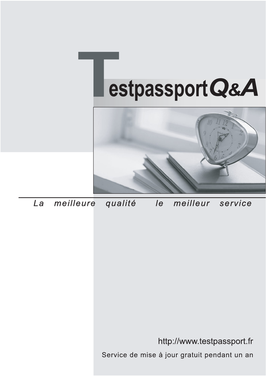



meilleure La qualité  $\overline{e}$ meilleur service

http://www.testpassport.fr

Service de mise à jour gratuit pendant un an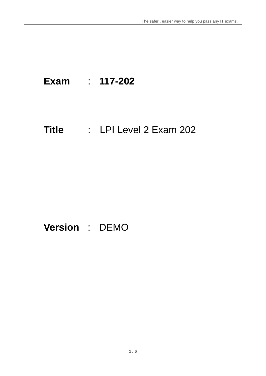# **Exam** : **117-202**

# **Title** : LPI Level 2 Exam 202

## **Version** : DEMO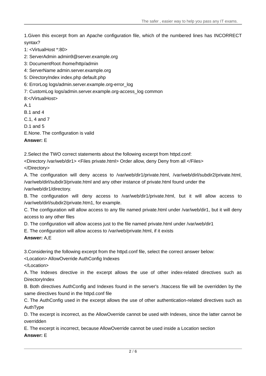1.Given this excerpt from an Apache configuration file, which of the numbered lines has INCORRECT syntax?

1: <VirtualHost \*:80>

2: ServerAdmin admin9@server.example.org

3: DocumentRoot /home/http/admin

4: ServerName admin.server.example.org

5: DirectoryIndex index.php default.php

6: ErrorLog logs/admin.server.example.org-error\_log

7: CustomLog logs/admin.server.example.org-access\_log common

8:</VirtualHost>

A.1

B.1 and 4

C.1, 4 and 7

D.1 and 5

E.None. The configuration is valid

**Answer:** E

2.Select the TWO correct statements about the following excerpt from httpd.conf:

<Directory /var/web/dir1> <Files private.html> Order allow, deny Deny from all </Files>

</Directory>

A. The configuration will deny access to /var/web/dir1/private.html, /var/web/dirl/subdir2/private.html, /var/web/dirl/subdir3/private.html and any other instance of private.html found under the /var/web/dir1/directory.

B. The configuration will deny access to /var/web/dir1/private.html, but it will allow access to /var/web/dirl/subdir2/private.htm1, for example.

C. The configuration will allow access to any file named private.html under /var/web/dir1, but it will deny access to any other files

D. The configuration will allow access just to the file named private.html under /var/web/dir1

E. The configuration will allow access to /var/web/private.html, if it exists

**Answer:** A,E

3.Considering the following excerpt from the httpd.conf file, select the correct answer below:

<Location> AllowOverride AuthConfig Indexes

</Location>

A. The Indexes directive in the excerpt allows the use of other index-related directives such as DirectoryIndex

B. Both directives AuthConfig and Indexes found in the server's .htaccess file will be overridden by the same directives found in the httpd.conf file

C. The AuthConfig used in the excerpt allows the use of other authentication-related directives such as AuthType

D. The excerpt is incorrect, as the AllowOverride cannot be used with Indexes, since the latter cannot be overridden

E. The excerpt is incorrect, because AllowOverride cannot be used inside a Location section

**Answer:** E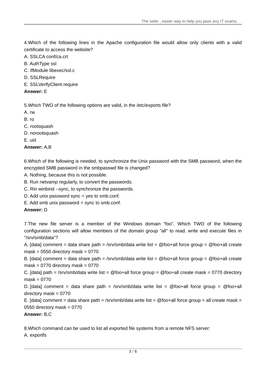4.Which of the following lines in the Apache configuration file would allow only clients with a valid certificate to access the website?

- A. SSLCA conf/ca.crt
- B. AuthType ssl
- C. IfModule libexec/ssl.c
- D. SSLRequire
- E. SSLVerifyClient require
- **Answer:** E

5.Which TWO of the following options are valid, in the /etc/exports file?

- A. rw
- B. ro
- C. rootsquash
- D. norootsquash
- E. uid

**Answer:** A,B

6.Which of the following is needed, to synchronize the Unix password with the SMB password, when the encrypted SMB password in the smbpasswd file is changed?

A. Nothing, because this is not possible.

B. Run netvamp regularly, to convert the passwords.

- C. Rin winbind --sync, to synchronize the passwords.
- D. Add unix password sync = yes to smb.conf.
- $E.$  Add smb unix password = sync to smb.conf.

#### **Answer:** D

7.The new file server is a member of the Windows domain "foo". Which TWO of the following configuration sections will allow members of the domain group "all" to read, write and execute files in "/srv/smb/data"?

A. [data] comment = data share path = /srv/smb/data write list = @foo+all force group = @foo+all create mask =  $0550$  directory mask =  $0770$ 

B. [data] comment = data share path = /srv/smb/data write list = @foo+all force group = @foo+all create mask =  $0770$  directory mask =  $0770$ 

C. [data] path = /srv/smb/data write list = @foo+all force group = @foo+all create mask = 0770 directory  $mask = 0770$ 

D. [data] comment = data share path = /srv/smb/data write list = @foo+all force group = @foo+all directory mask  $= 0770$ 

E. [data] comment = data share path = /srv/smb/data write list = @foo+all force group = all create mask = 0550 directory mask =  $0770$ 

**Answer:** B,C

8.Which command can be used to list all exported file systems from a remote NFS server:

A. exportfs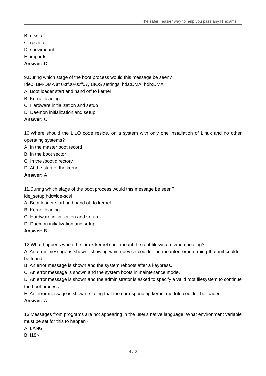- B. nfsstat
- C. rpcinfo
- D. showmount
- E. importfs
- **Answer:** D

9.During which stage of the boot process would this message be seen? Ide0: BM-DMA at 0xff00-0xff07, BIOS settings: hda:DMA, hdb:DMA

- A. Boot loader start and hand off to kernel
- B. Kernel loading
- C. Hardware initialization and setup
- D. Daemon initialization and setup

**Answer:** C

10.Where should the LILO code reside, on a system with only one installation of Linux and no other operating systems?

- A. In the master boot record
- B. In the boot sector
- C. In the /boot directory
- D. At the start of the kernel

#### **Answer:** A

11.During which stage of the boot process would this message be seen?

ide\_setup:hdc=ide-scsi

- A. Boot loader start and hand off to kernel
- B. Kernel loading
- C. Hardware initialization and setup
- D. Daemon initialization and setup

#### **Answer:** B

12.What happens when the Linux kernel can't mount the root filesystem when booting?

A. An error message is shown, showing which device couldn't be mounted or informing that init couldn't be found.

B. An error message is shown and the system reboots after a keypress.

C. An error message is shown and the system boots in maintenance mode.

D. An error message is shown and the administrator is asked to specify a valid root filesystem to continue the boot process.

E. An error message is shown, stating that the corresponding kernel module couldn't be loaded.

**Answer:** A

13.Messages from programs are not appearing in the user's native language. What environment variable must be set for this to happen?

A. LANG

B. I18N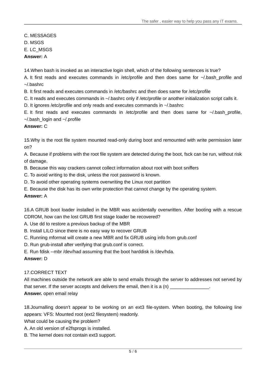C. MESSAGES D. MSGS E. LC\_MSGS **Answer:** A

14.When bash is invoked as an interactive login shell, which of the following sentences is true?

A. It first reads and executes commands in /etc/profile and then does same for  $\sim$ /.bash\_profile and  $\sim$ / bashrc

B. It first reads and executes commands in /etc/bashrc and then does same for /etc/profile

C. It reads and executes commands in ~/.bashrc only if /etc/profile or another initialization script calls it.

D. It ignores /etc/profile and only reads and executes commands in ~/.bashrc

E. It first reads and executes commands in /etc/profile and then does same for ~/.bash\_profile, ~/.bash\_login and ~/.profile

#### **Answer:** C

15.Why is the root file system mounted read-only during boot and remounted with write permission later on?

A. Because if problems with the root file system are detected during the boot, fsck can be run, without risk of damage.

B. Because this way crackers cannot collect information about root with boot sniffers

- C. To avoid writing to the disk, unless the root password is known.
- D. To avoid other operating systems overwriting the Linux root partition
- E. Because the disk has its own write protection that cannot change by the operating system.

#### **Answer:** A

16.A GRUB boot loader installed in the MBR was accidentally overwritten. After booting with a rescue CDROM, how can the lost GRUB first stage loader be recovered?

A. Use dd to restore a previous backup of the MBR

- B. Install LILO since there is no easy way to recover GRUB
- C. Running mformat will create a new MBR and fix GRUB using info from grub.conf
- D. Run grub-install after verifying that grub.conf is correct.
- E. Run fdisk --mbr /dev/had assuming that the boot harddisk is /dev/hda.

#### **Answer:** D

#### 17.CORRECT TEXT

All machines outside the network are able to send emails through the server to addresses not served by that server. If the server accepts and delivers the email, then it is a  $(n)$ 

#### **Answer.** open email relay

18.Journalling doesn't appear to be working on an ext3 file-system. When booting, the following line appears: VFS: Mounted root (ext2 filesystem) readonly.

What could be causing the problem?

- A. An old version of e2fsprogs is installed.
- B. The kernel does not contain ext3 support.